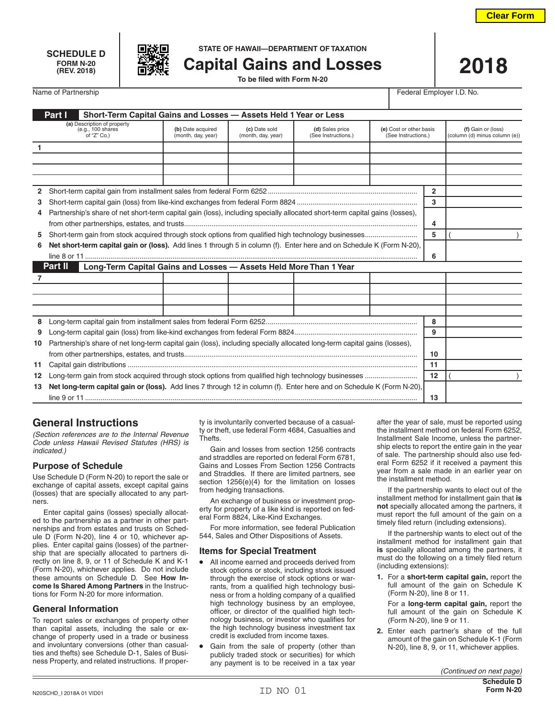





**SCHEDULE D STATE OF HAWAII—DEPARTMENT OF TAXATION**

**(REV. 2018) Capital Gains and Losses 2018 To be filed with Form N-20**

Name of Partnership **Federal Employer I.D.** No.

| Part I<br>Short-Term Capital Gains and Losses - Assets Held 1 Year or Less |                                                                                                                             |                                         |                                     |                                        |                                                |    |                                                     |  |
|----------------------------------------------------------------------------|-----------------------------------------------------------------------------------------------------------------------------|-----------------------------------------|-------------------------------------|----------------------------------------|------------------------------------------------|----|-----------------------------------------------------|--|
|                                                                            | (a) Description of property<br>(e.g., 100 shares<br>of "Z" Co.)                                                             | (b) Date acquired<br>(month, day, year) | (c) Date sold<br>(month, day, year) | (d) Sales price<br>(See Instructions.) | (e) Cost or other basis<br>(See Instructions.) |    | (f) Gain or (loss)<br>(column (d) minus column (e)) |  |
| $\mathbf{1}$                                                               |                                                                                                                             |                                         |                                     |                                        |                                                |    |                                                     |  |
|                                                                            |                                                                                                                             |                                         |                                     |                                        |                                                |    |                                                     |  |
|                                                                            |                                                                                                                             |                                         |                                     |                                        |                                                |    |                                                     |  |
|                                                                            |                                                                                                                             |                                         |                                     |                                        |                                                |    |                                                     |  |
|                                                                            |                                                                                                                             |                                         |                                     |                                        |                                                |    |                                                     |  |
| 3                                                                          |                                                                                                                             |                                         |                                     |                                        |                                                |    |                                                     |  |
| 4                                                                          | Partnership's share of net short-term capital gain (loss), including specially allocated short-term capital gains (losses), |                                         |                                     |                                        |                                                |    |                                                     |  |
|                                                                            |                                                                                                                             |                                         |                                     |                                        |                                                |    |                                                     |  |
| 5.                                                                         | Short-term gain from stock acquired through stock options from qualified high technology businesses                         |                                         |                                     |                                        |                                                |    |                                                     |  |
| 6                                                                          | Net short-term capital gain or (loss). Add lines 1 through 5 in column (f). Enter here and on Schedule K (Form N-20),       |                                         |                                     |                                        |                                                |    |                                                     |  |
|                                                                            |                                                                                                                             |                                         |                                     |                                        |                                                |    |                                                     |  |
|                                                                            | Part II<br>Long-Term Capital Gains and Losses - Assets Held More Than 1 Year                                                |                                         |                                     |                                        |                                                |    |                                                     |  |
|                                                                            |                                                                                                                             |                                         |                                     |                                        |                                                |    |                                                     |  |
|                                                                            |                                                                                                                             |                                         |                                     |                                        |                                                |    |                                                     |  |
|                                                                            |                                                                                                                             |                                         |                                     |                                        |                                                |    |                                                     |  |
|                                                                            |                                                                                                                             |                                         |                                     |                                        |                                                |    |                                                     |  |
| 8                                                                          |                                                                                                                             |                                         |                                     |                                        |                                                | 8  |                                                     |  |
| 9                                                                          |                                                                                                                             |                                         |                                     |                                        |                                                | 9  |                                                     |  |
| 10                                                                         | Partnership's share of net long-term capital gain (loss), including specially allocated long-term capital gains (losses),   |                                         |                                     |                                        |                                                |    |                                                     |  |
|                                                                            |                                                                                                                             |                                         |                                     |                                        |                                                | 10 |                                                     |  |
| 11                                                                         |                                                                                                                             |                                         |                                     |                                        |                                                |    |                                                     |  |
| 12                                                                         |                                                                                                                             |                                         |                                     |                                        |                                                |    |                                                     |  |
| 13                                                                         | Net long-term capital gain or (loss). Add lines 7 through 12 in column (f). Enter here and on Schedule K (Form N-20).       |                                         |                                     |                                        |                                                |    |                                                     |  |
|                                                                            |                                                                                                                             |                                         |                                     |                                        |                                                | 13 |                                                     |  |

# **General Instructions**

*(Section references are to the Internal Revenue Code unless Hawaii Revised Statutes (HRS) is indicated.)*

# **Purpose of Schedule**

Use Schedule D (Form N-20) to report the sale or exchange of capital assets, except capital gains (losses) that are specially allocated to any partners.

Enter capital gains (losses) specially allocated to the partnership as a partner in other partnerships and from estates and trusts on Schedule D (Form N-20), line 4 or 10, whichever applies. Enter capital gains (losses) of the partnership that are specially allocated to partners directly on line 8, 9, or 11 of Schedule K and K-1 (Form N-20), whichever applies. Do not include these amounts on Schedule D. See **How Income Is Shared Among Partners** in the Instructions for Form N-20 for more information.

# **General Information**

To report sales or exchanges of property other than capital assets, including the sale or exchange of property used in a trade or business and involuntary conversions (other than casualties and thefts) see Schedule D-1, Sales of Business Property, and related instructions. If property is involuntarily converted because of a casualty or theft, use federal Form 4684, Casualties and Thefts.

Gain and losses from section 1256 contracts and straddles are reported on federal Form 6781, Gains and Losses From Section 1256 Contracts and Straddles. If there are limited partners, see section 1256(e)(4) for the limitation on losses from hedging transactions.

An exchange of business or investment property for property of a like kind is reported on federal Form 8824, Like-Kind Exchanges.

For more information, see federal Publication 544, Sales and Other Dispositions of Assets.

### **Items for Special Treatment**

- All income earned and proceeds derived from stock options or stock, including stock issued through the exercise of stock options or warrants, from a qualified high technology business or from a holding company of a qualified high technology business by an employee, officer, or director of the qualified high technology business, or investor who qualifies for the high technology business investment tax credit is excluded from income taxes.
- Gain from the sale of property (other than publicly traded stock or securities) for which any payment is to be received in a tax year

after the year of sale, must be reported using the installment method on federal Form 6252, Installment Sale Income, unless the partnership elects to report the entire gain in the year of sale. The partnership should also use federal Form 6252 if it received a payment this year from a sale made in an earlier year on the installment method.

If the partnership wants to elect out of the installment method for installment gain that **is not** specially allocated among the partners, it must report the full amount of the gain on a timely filed return (including extensions).

If the partnership wants to elect out of the installment method for installment gain that **is** specially allocated among the partners, it must do the following on a timely filed return (including extensions):

**1.** For a **short-term capital gain,** report the full amount of the gain on Schedule K (Form N-20), line 8 or 11.

For a **long-term capital gain,** report the full amount of the gain on Schedule K (Form N-20), line 9 or 11.

**2.** Enter each partner's share of the full amount of the gain on Schedule K-1 (Form N-20), line 8, 9, or 11, whichever applies.

*(Continued on next page)*